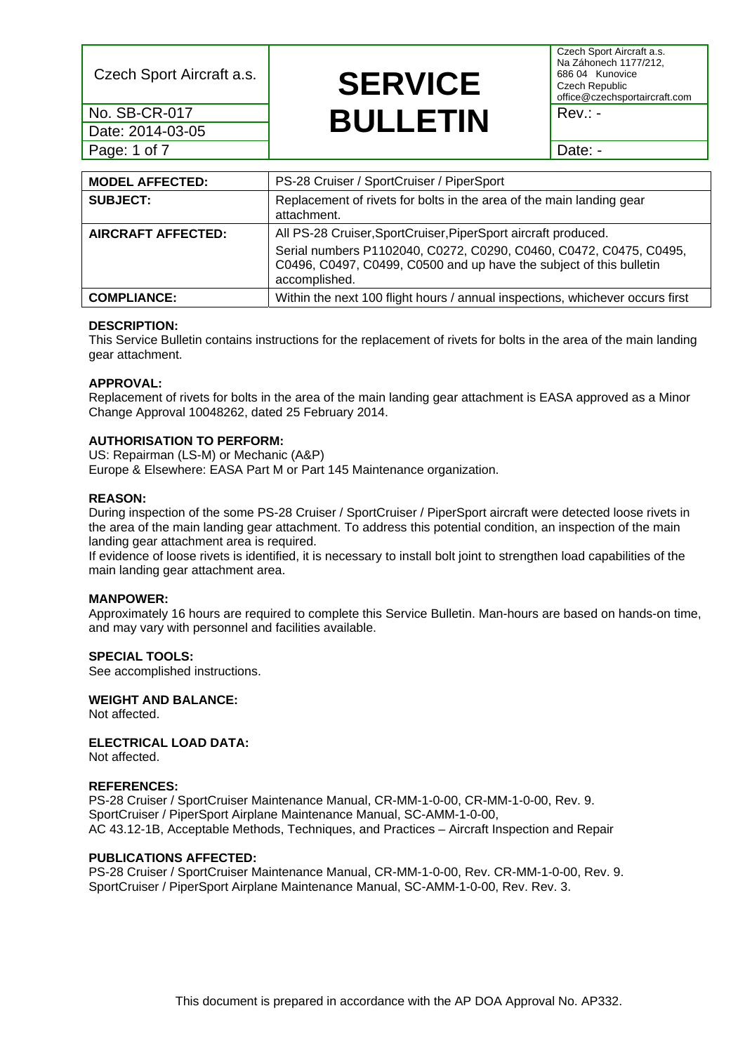Date: 2014-03-05 Page: 1 of 7 Date: -

### Czech Sport Aircraft a.s. **SERVICE No. SB-CR-017 BULLETIN** Rev.: -

Czech Sport Aircraft a.s. Na Záhonech 1177/212, 686 04 Kunovice Czech Republic office@czechsportaircraft.com

| <b>MODEL AFFECTED:</b>    | PS-28 Cruiser / SportCruiser / PiperSport                                                                                                                                                                                    |
|---------------------------|------------------------------------------------------------------------------------------------------------------------------------------------------------------------------------------------------------------------------|
| <b>SUBJECT:</b>           | Replacement of rivets for bolts in the area of the main landing gear<br>attachment.                                                                                                                                          |
| <b>AIRCRAFT AFFECTED:</b> | All PS-28 Cruiser, SportCruiser, PiperSport aircraft produced.<br>Serial numbers P1102040, C0272, C0290, C0460, C0472, C0475, C0495,<br>C0496, C0497, C0499, C0500 and up have the subject of this bulletin<br>accomplished. |
| <b>COMPLIANCE:</b>        | Within the next 100 flight hours / annual inspections, whichever occurs first                                                                                                                                                |

#### **DESCRIPTION:**

This Service Bulletin contains instructions for the replacement of rivets for bolts in the area of the main landing gear attachment.

#### **APPROVAL:**

Replacement of rivets for bolts in the area of the main landing gear attachment is EASA approved as a Minor Change Approval 10048262, dated 25 February 2014.

#### **AUTHORISATION TO PERFORM:**

US: Repairman (LS-M) or Mechanic (A&P) Europe & Elsewhere: EASA Part M or Part 145 Maintenance organization.

#### **REASON:**

During inspection of the some PS-28 Cruiser / SportCruiser / PiperSport aircraft were detected loose rivets in the area of the main landing gear attachment. To address this potential condition, an inspection of the main landing gear attachment area is required.

If evidence of loose rivets is identified, it is necessary to install bolt joint to strengthen load capabilities of the main landing gear attachment area.

#### **MANPOWER:**

Approximately 16 hours are required to complete this Service Bulletin. Man-hours are based on hands-on time, and may vary with personnel and facilities available.

#### **SPECIAL TOOLS:**

See accomplished instructions.

#### **WEIGHT AND BALANCE:**

Not affected.

#### **ELECTRICAL LOAD DATA:**

Not affected.

#### **REFERENCES:**

PS-28 Cruiser / SportCruiser Maintenance Manual, CR-MM-1-0-00, CR-MM-1-0-00, Rev. 9. SportCruiser / PiperSport Airplane Maintenance Manual, SC-AMM-1-0-00, AC 43.12-1B, Acceptable Methods, Techniques, and Practices – Aircraft Inspection and Repair

#### **PUBLICATIONS AFFECTED:**

PS-28 Cruiser / SportCruiser Maintenance Manual, CR-MM-1-0-00, Rev. CR-MM-1-0-00, Rev. 9. SportCruiser / PiperSport Airplane Maintenance Manual, SC-AMM-1-0-00, Rev. Rev. 3.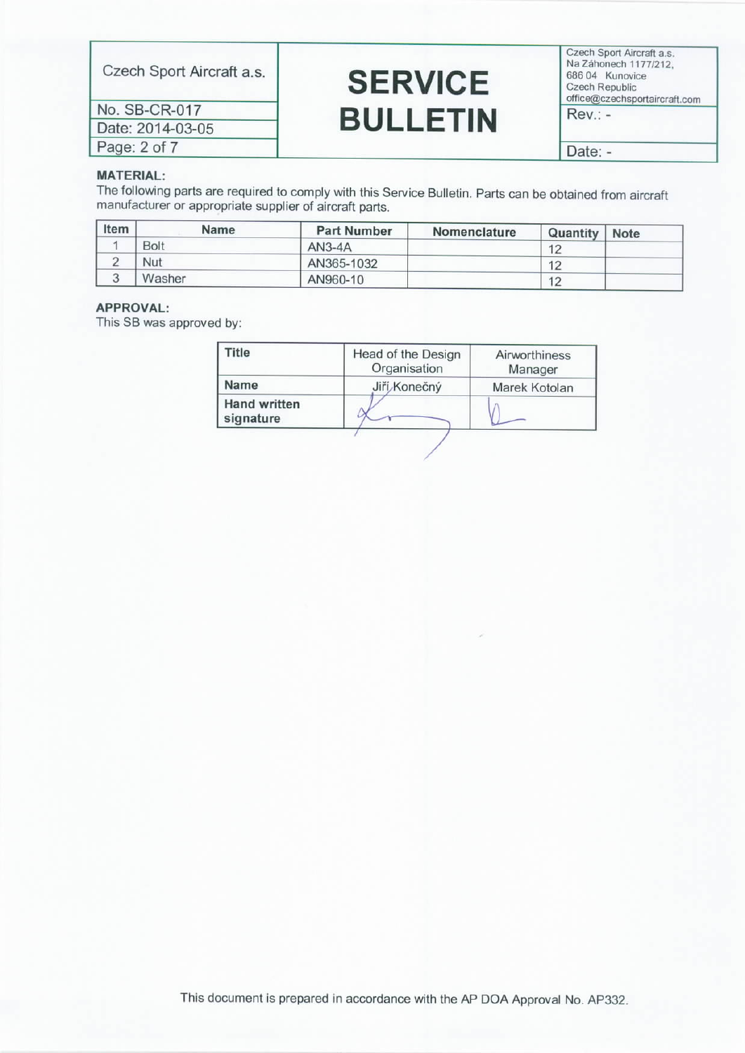Czech Sport Aircraft a.s.

No. SB-CR-017 Date: 2014-03-05 Page: 2 of 7

### **SERVICE BULLETIN**

Czech Sport Aircraft a.s. Na Záhonech 1177/212, 686 04 Kunovice Czech Republic office@czechsportaircraft.com

 $Rev.: -$ 

Date: -

#### **MATERIAL:**

The following parts are required to comply with this Service Bulletin. Parts can be obtained from aircraft manufacturer or appropriate supplier of aircraft parts.

| Item | <b>Name</b> | <b>Part Number</b> | Nomenclature | Quantity | <b>Note</b> |
|------|-------------|--------------------|--------------|----------|-------------|
|      | <b>Bolt</b> | $AN3-4A$           |              | 12       |             |
|      | Nut         | AN365-1032         |              | 17       |             |
|      | Washer      | AN960-10           |              | 12       |             |

#### APPROVAL:

This SB was approved by:

| ïtle                             | Head of the Design<br>Organisation | Airworthiness<br>Manager |
|----------------------------------|------------------------------------|--------------------------|
| Name                             | Jiří Konečný                       | Marek Kotolan            |
| <b>Hand written</b><br>signature |                                    |                          |

This document is prepared in accordance with the AP DOA Approval No. AP332.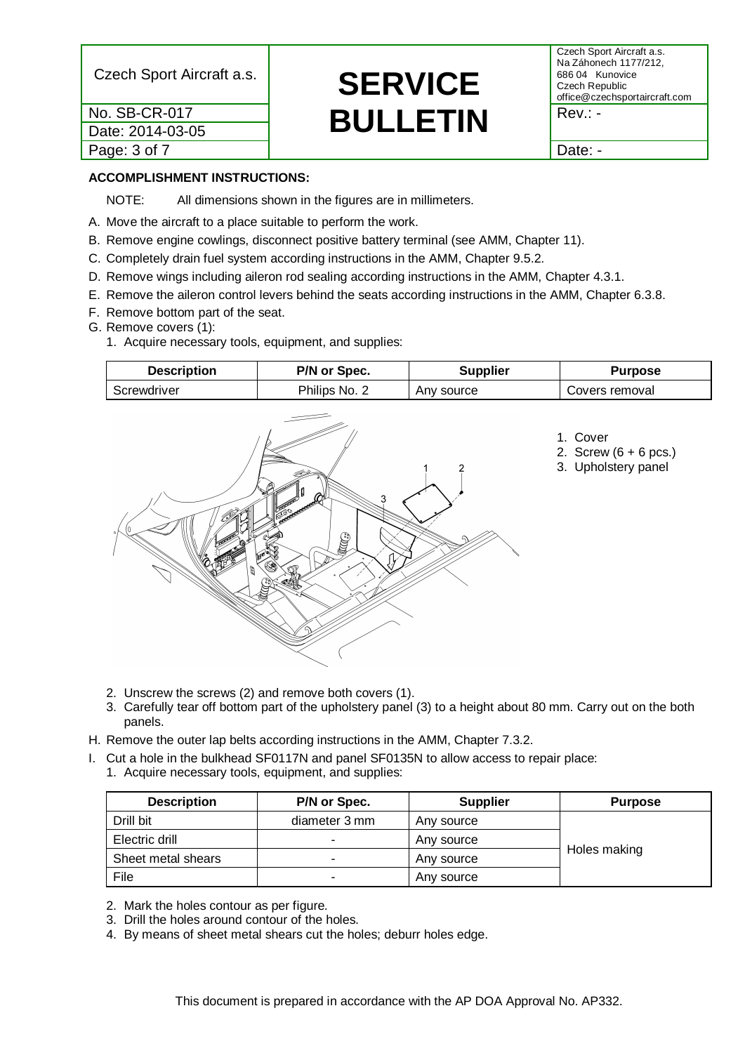| No. SB-CR-017    | <b>BULLETIN</b> | $Rev.: -$ |
|------------------|-----------------|-----------|
| Date: 2014-03-05 |                 |           |
| Page: 3 of 7     |                 | Date: -   |

### Czech Sport Aircraft a.s. **SERVICE** No. SB-CR-017<br>Date: 2014-03-05<br> **BULLETIN**

Czech Sport Aircraft a.s. Na Záhonech 1177/212, 686 04 Kunovice Czech Republic office@czechsportaircraft.com

#### **ACCOMPLISHMENT INSTRUCTIONS:**

NOTE: All dimensions shown in the figures are in millimeters.

- A. Move the aircraft to a place suitable to perform the work.
- B. Remove engine cowlings, disconnect positive battery terminal (see AMM, Chapter 11).
- C. Completely drain fuel system according instructions in the AMM, Chapter 9.5.2.
- D. Remove wings including aileron rod sealing according instructions in the AMM, Chapter 4.3.1.
- E. Remove the aileron control levers behind the seats according instructions in the AMM, Chapter 6.3.8.
- F. Remove bottom part of the seat.
- G. Remove covers (1):
	- 1. Acquire necessary tools, equipment, and supplies:

| <b>Description</b> | P/N or Spec.  | Supplier   | Purpose        |
|--------------------|---------------|------------|----------------|
| Screwdriver        | Philips No. 2 | Any source | Covers removal |



- 2. Unscrew the screws (2) and remove both covers (1).
- 3. Carefully tear off bottom part of the upholstery panel (3) to a height about 80 mm. Carry out on the both panels.
- H. Remove the outer lap belts according instructions in the AMM, Chapter 7.3.2.
- I. Cut a hole in the bulkhead SF0117N and panel SF0135N to allow access to repair place:
	- 1. Acquire necessary tools, equipment, and supplies:

| <b>Description</b> | P/N or Spec.  | <b>Supplier</b> | <b>Purpose</b> |
|--------------------|---------------|-----------------|----------------|
| Drill bit          | diameter 3 mm | Any source      |                |
| Electric drill     |               | Any source      |                |
| Sheet metal shears | -             | Any source      | Holes making   |
| File               | -             | Any source      |                |

- 2. Mark the holes contour as per figure.
- 3. Drill the holes around contour of the holes.
- 4. By means of sheet metal shears cut the holes; deburr holes edge.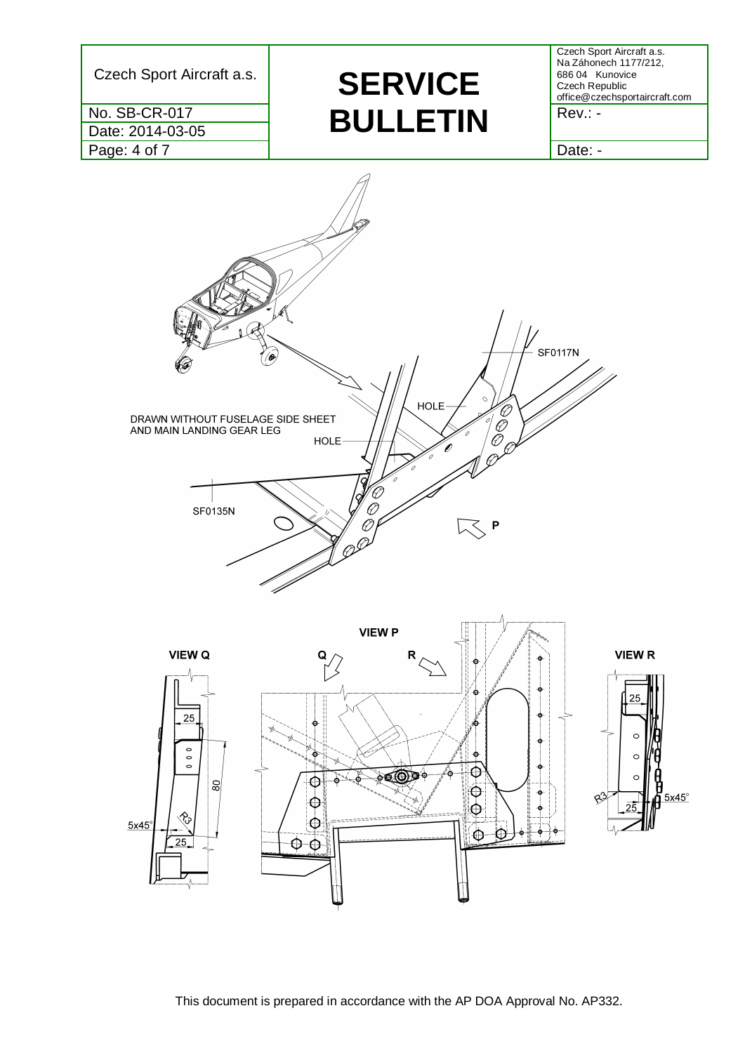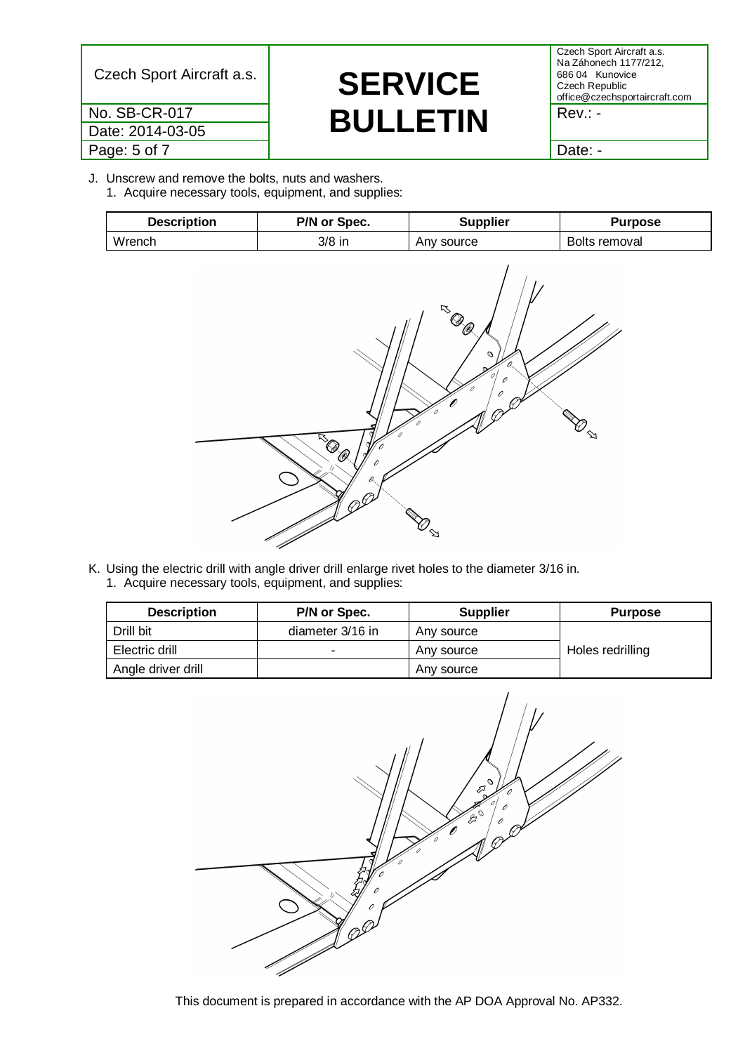Date: 2014-03-05 Page: 5 of 7 Date: -

## Czech Sport Aircraft a.s. **SERVICE** No. SB-CR-017<br>Date: 2014-03-05<br> **BULLETIN**

Czech Sport Aircraft a.s. Na Záhonech 1177/212, 686 04 Kunovice Czech Republic office@czechsportaircraft.com

J. Unscrew and remove the bolts, nuts and washers. 1. Acquire necessary tools, equipment, and supplies:

| <b>Description</b> | P/N or Spec. | <b>Supplier</b> | Purpose       |
|--------------------|--------------|-----------------|---------------|
| Wrench             | 3/8 in       | Any source      | Bolts removal |



K. Using the electric drill with angle driver drill enlarge rivet holes to the diameter 3/16 in. 1. Acquire necessary tools, equipment, and supplies:

| <b>Description</b> | P/N or Spec.     | <b>Supplier</b> | <b>Purpose</b>   |
|--------------------|------------------|-----------------|------------------|
| Drill bit          | diameter 3/16 in | Any source      |                  |
| Electric drill     |                  | Any source      | Holes redrilling |
| Angle driver drill |                  | Any source      |                  |

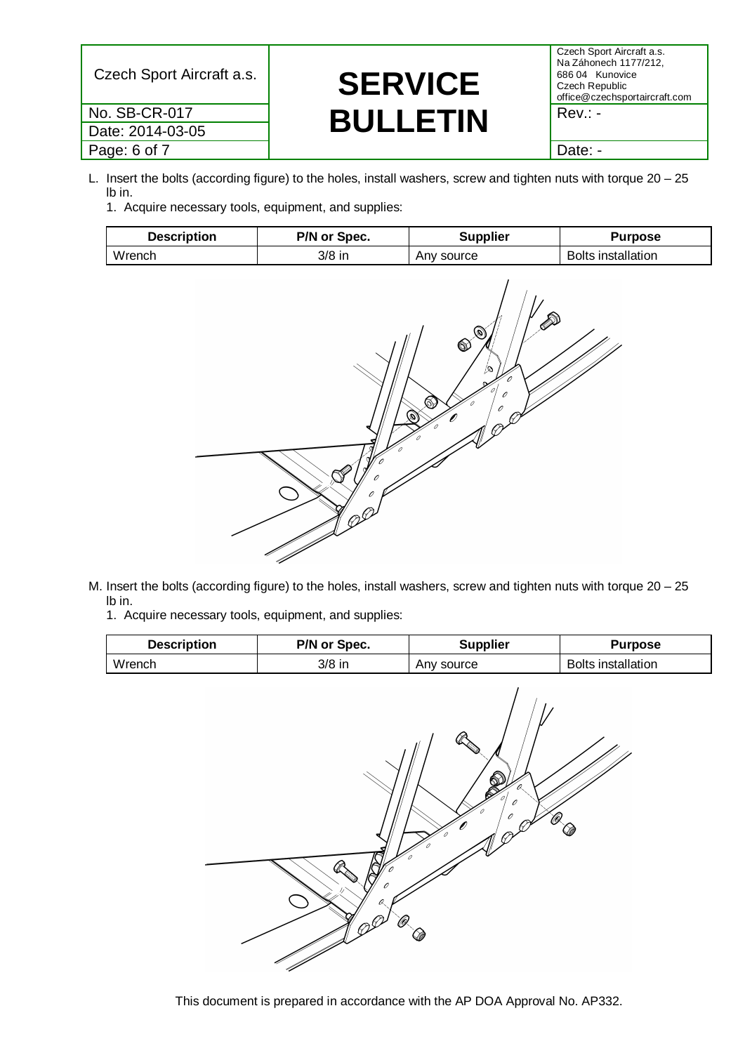Date: 2014-03-05 Page: 6 of 7 and 2 and 2 and 2 and 2 and 2 and 2 and 2 and 2 and 2 and 2 and 2 and 2 and 2 and 2 and 2 and 2 and 2 and 2 and 2 and 2 and 2 and 2 and 2 and 2 and 2 and 2 and 2 and 2 and 2 and 2 and 2 and 2 and 2 and 2 and 2

# Czech Sport Aircraft a.s. **SERVICE** No. SB-CR-017<br>Date: 2014-03-05<br> **BULLETIN**

Czech Sport Aircraft a.s. Na Záhonech 1177/212, 686 04 Kunovice Czech Republic office@czechsportaircraft.com

- L. Insert the bolts (according figure) to the holes, install washers, screw and tighten nuts with torque 20 25 lb in.
	- 1. Acquire necessary tools, equipment, and supplies:

| <b>Description</b> | P/N or Spec. | Supplier      | Purpose                   |
|--------------------|--------------|---------------|---------------------------|
| Wrench             | 3/8 in       | source<br>Anv | <b>Bolts installation</b> |



- M. Insert the bolts (according figure) to the holes, install washers, screw and tighten nuts with torque 20 25 lb in.
	- 1. Acquire necessary tools, equipment, and supplies: